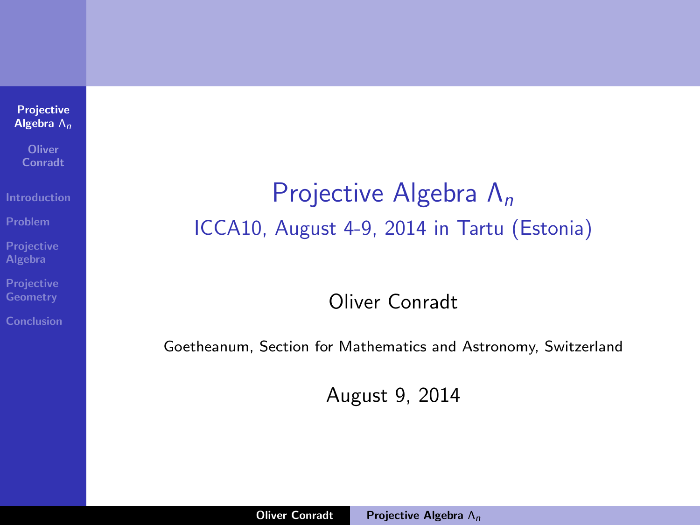<span id="page-0-0"></span>[Projective](#page-42-0) **Algebra**  $Λ_n$ 

**Oliver** Conradt

[Introduction](#page-1-0)

[Projective](#page-8-0) Algebra

[Conclusion](#page-42-0)

# Projective Algebra  $\Lambda_n$ ICCA10, August 4-9, 2014 in Tartu (Estonia)

### Oliver Conradt

Goetheanum, Section for Mathematics and Astronomy, Switzerland

August 9, 2014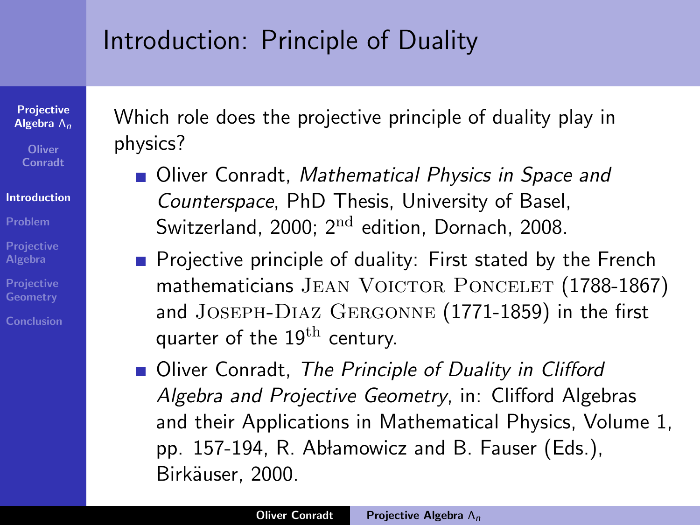# <span id="page-1-0"></span>Introduction: Principle of Duality

**[Projective](#page-0-0)** Algebra  $\Lambda_n$ 

> **Oliver** Conradt

#### [Introduction](#page-1-0)

[Problem](#page-6-0)

[Projective](#page-8-0) Algebra

**[Projective](#page-28-0) Geometry** 

[Conclusion](#page-42-0)

Which role does the projective principle of duality play in physics?

- Oliver Conradt, Mathematical Physics in Space and Counterspace, PhD Thesis, University of Basel, Switzerland, 2000;  $2<sup>nd</sup>$  edition, Dornach, 2008.
- $\blacksquare$  Projective principle of duality: First stated by the French mathematicians JEAN VOICTOR PONCELET (1788-1867) and Joseph-Diaz Gergonne (1771-1859) in the first quarter of the  $19<sup>th</sup>$  century.
- **DR** Oliver Conradt, The Principle of Duality in Clifford Algebra and Projective Geometry, in: Clifford Algebras and their Applications in Mathematical Physics, Volume 1, pp. 157-194, R. Abłamowicz and B. Fauser (Eds.), Birkäuser, 2000.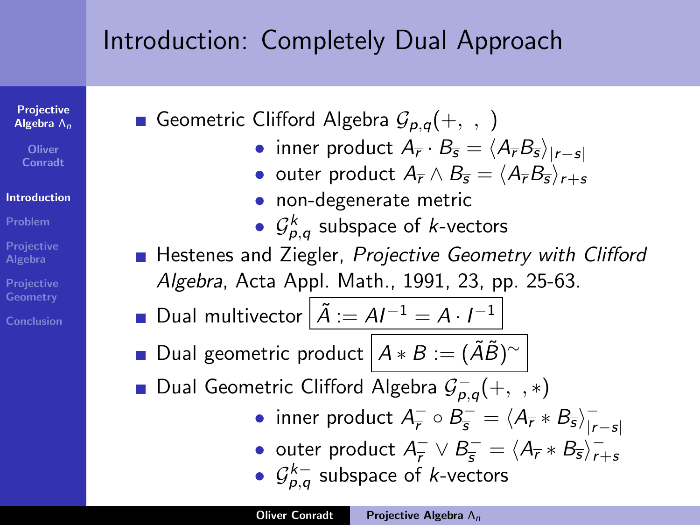# Introduction: Completely Dual Approach

[Projective](#page-0-0) Algebra Λn

**Oliver Conradt** 

#### [Introduction](#page-1-0)

[Problem](#page-6-0)

[Projective](#page-8-0) Algebra

[Projective](#page-28-0) **Geometry** 

[Conclusion](#page-42-0)

Geometric Clifford Algebra  $\mathcal{G}_{p,q}(+, \ , \ )$ 

- $\bullet \,$  inner product  $A_{\overline{r}} \cdot B_{\overline{s}} = \langle A_{\overline{r}} B_{\overline{s}} \rangle_{|r-s|}$
- outer product  $A_{\overline{r}} \wedge B_{\overline{s}} = \langle A_{\overline{r}}B_{\overline{s}} \rangle_{r+s}$
- non-degenerate metric
- $\bullet$   $\mathcal{G}^k_{p,q}$  subspace of  $k$ -vectors
- Hestenes and Ziegler, Projective Geometry with Clifford Algebra, Acta Appl. Math., 1991, 23, pp. 25-63.
- Dual multivector  $\hat{A} := AI^{-1} = A \cdot I^{-1}$
- Dual geometric product  $\big\vert A\ast B:=(\tilde A\tilde B)^\sim$
- Dual Geometric Clifford Algebra  $\mathcal{G}^-_{p,q}(+,\;,\;*)$ 
	- inner product  $A_{\overline{r}}^ \frac{\overline{\phantom{x}}}{\overline{\phantom{a}}r} \circ B_{\overline{\phantom{a}}s}^{-} = \langle A_{\overline{r}} \ast B_{\overline{s}} \rangle_{|r}^{-}$ |r−s|
	- outer product  $A_{\overline{r}}^- \vee B_{\overline{s}}^- = \langle A_{\overline{r}} * B_{\overline{s}} \rangle_{r+s}^-$
	- $G_{p,q}^{k-}$  subspace of k-vectors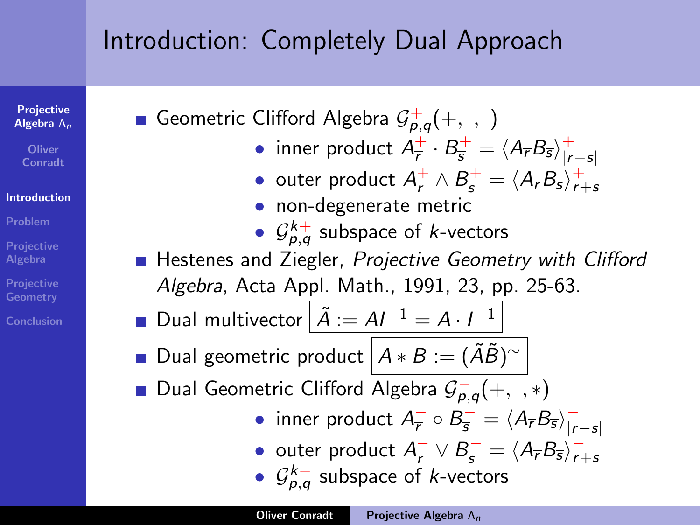# Introduction: Completely Dual Approach

[Projective](#page-0-0) Algebra Λn

**Oliver Conradt** 

#### [Introduction](#page-1-0)

[Problem](#page-6-0)

[Projective](#page-8-0) Algebra

**[Projective](#page-28-0) Geometry** 

[Conclusion](#page-42-0)

Geometric Clifford Algebra  $\mathcal{G}^+_{p,q}(+,\;,\;)$ 

- inner product  $A^+_{\overline{r}}\cdot B^+_{\overline{s}}=\langle A_{\overline{r}}B_{\overline{s}}\rangle^+_{|r}$ |r−s|
- outer product  $A^+_{\overline{r}}\wedge B^+_{\overline{s}}=\langle A_{\overline{r}}B_{\overline{s}}\rangle^+_{r+s}$
- non-degenerate metric
- $\bullet$   $\mathcal{G}^{k+}_{p,q}$  subspace of  $k$ -vectors
- Hestenes and Ziegler, Projective Geometry with Clifford Algebra, Acta Appl. Math., 1991, 23, pp. 25-63.
- Dual multivector  $\hat{A} := AI^{-1} = A \cdot I^{-1}$
- Dual geometric product  $\big\vert A\ast B:=(\tilde A\tilde B)^\sim$
- Dual Geometric Clifford Algebra  $\mathcal{G}^-_{p,q}(+,\;,\ast)$ 
	- inner product  $A_{\overline{r}}^ \frac{\overline{\phantom{x}}}{\overline{\phantom{y}}} \circ B_{\overline{\phantom{s}}}\overline{\phantom{s}} = \langle A_{\overline{r}} B_{\overline{s}} \rangle_{|r}^{-1}$ |r−s|
	- outer product  $A_{\overline{r}}^{-} \vee B_{\overline{s}}^{-} = \langle A_{\overline{r}} B_{\overline{s}} \rangle_{r+s}^{-}$
	- $\mathcal{G}_{p,q}^{k-}$  subspace of k-vectors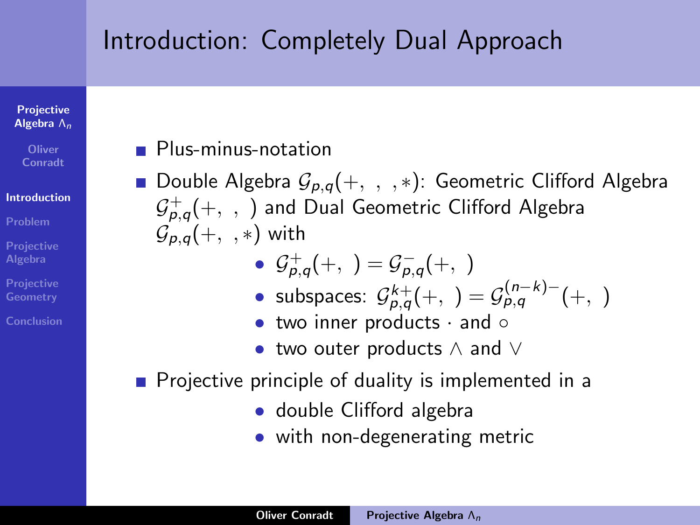# Introduction: Completely Dual Approach

[Projective](#page-0-0) Algebra Λn

> **Oliver Conradt**

#### [Introduction](#page-1-0)

[Problem](#page-6-0)

[Projective](#page-8-0) Algebra

[Projective](#page-28-0) **Geometry** 

[Conclusion](#page-42-0)

- **Plus-minus-notation**
- Double Algebra  $\mathcal{G}_{p,q}(+, \, , \, , *)$ : Geometric Clifford Algebra  $\mathcal{G}^+_{\rho,q}(+,\;,\;)$  and Dual Geometric Clifford Algebra  $G_{p,q}(+, \cdot, *)$  with
	- $G_{p,q}^+(+,\ ) = \mathcal{G}_{p,q}^-(+,\ )$
	- subspaces:  $\mathcal{G}^{k+}_{p,q}(+,\ )=\mathcal{G}^{(n-k)-}_{p,q}(+,\ )$
	- two inner products · and ○
	- two outer products ∧ and ∨
- Projective principle of duality is implemented in a
	- double Clifford algebra
	- with non-degenerating metric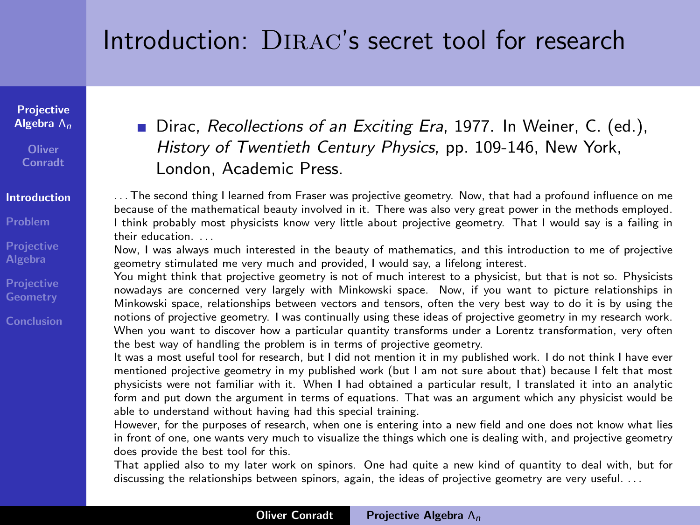# Introduction: DIRAC's secret tool for research

[Projective](#page-0-0) Algebra Λ<sub>n</sub>

**Oliver** Conradt

[Introduction](#page-1-0)

[Problem](#page-6-0)

[Projective](#page-8-0) Algebra

[Projective](#page-28-0) **Geometry** 

**[Conclusion](#page-42-0)** 

Dirac, Recollections of an Exciting Era, 1977. In Weiner, C. (ed.), History of Twentieth Century Physics, pp. 109-146, New York, London, Academic Press.

. . . The second thing I learned from Fraser was projective geometry. Now, that had a profound influence on me because of the mathematical beauty involved in it. There was also very great power in the methods employed. I think probably most physicists know very little about projective geometry. That I would say is a failing in their education.

Now, I was always much interested in the beauty of mathematics, and this introduction to me of projective geometry stimulated me very much and provided, I would say, a lifelong interest.

You might think that projective geometry is not of much interest to a physicist, but that is not so. Physicists nowadays are concerned very largely with Minkowski space. Now, if you want to picture relationships in Minkowski space, relationships between vectors and tensors, often the very best way to do it is by using the notions of projective geometry. I was continually using these ideas of projective geometry in my research work. When you want to discover how a particular quantity transforms under a Lorentz transformation, very often the best way of handling the problem is in terms of projective geometry.

It was a most useful tool for research, but I did not mention it in my published work. I do not think I have ever mentioned projective geometry in my published work (but I am not sure about that) because I felt that most physicists were not familiar with it. When I had obtained a particular result, I translated it into an analytic form and put down the argument in terms of equations. That was an argument which any physicist would be able to understand without having had this special training.

However, for the purposes of research, when one is entering into a new field and one does not know what lies in front of one, one wants very much to visualize the things which one is dealing with, and projective geometry does provide the best tool for this.

That applied also to my later work on spinors. One had quite a new kind of quantity to deal with, but for discussing the relationships between spinors, again, the ideas of projective geometry are very useful. . . .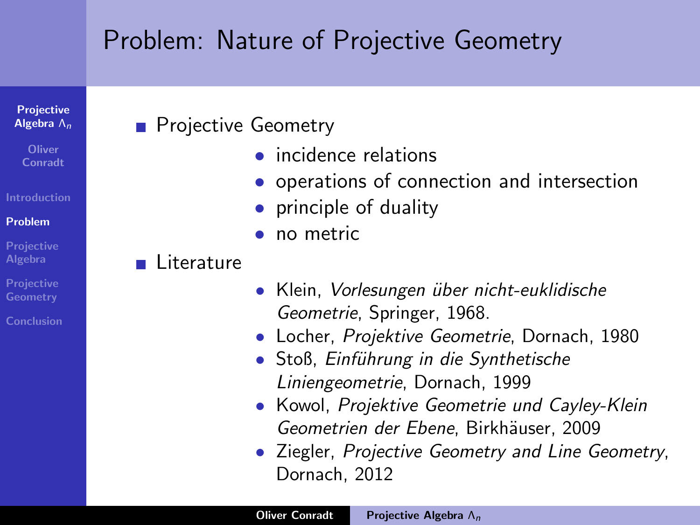# <span id="page-6-0"></span>Problem: Nature of Projective Geometry

[Projective](#page-0-0) Algebra Λn

**Oliver Conradt** 

[Introduction](#page-1-0)

[Problem](#page-6-0)

[Projective](#page-8-0) Algebra

[Projective](#page-28-0) **Geometry** 

[Conclusion](#page-42-0)

**Projective Geometry** 

- incidence relations
- operations of connection and intersection
- principle of duality
- no metric

### $\blacksquare$  Literature

- Klein, Vorlesungen über nicht-euklidische Geometrie, Springer, 1968.
- Locher, Projektive Geometrie, Dornach, 1980
- Stoß, Einführung in die Synthetische Liniengeometrie, Dornach, 1999
- Kowol, Projektive Geometrie und Cayley-Klein Geometrien der Ebene, Birkhäuser, 2009
- Ziegler, Projective Geometry and Line Geometry, Dornach, 2012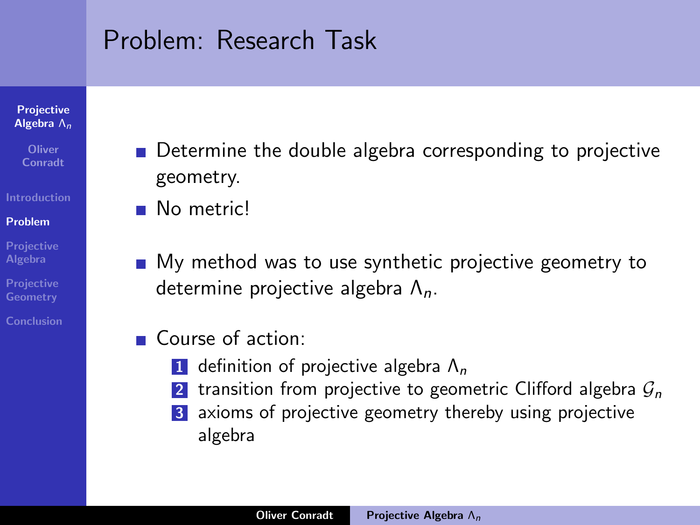# Problem: Research Task

#### [Projective](#page-0-0) Algebra Λn

**Oliver** Conradt

#### **[Introduction](#page-1-0)**

#### [Problem](#page-6-0)

[Projective](#page-8-0) Algebra

[Projective](#page-28-0) **Geometry** 

[Conclusion](#page-42-0)

- Determine the double algebra corresponding to projective geometry.
- No metric!
- My method was to use synthetic projective geometry to  $\mathcal{L}_{\mathcal{A}}$ determine projective algebra  $\Lambda_n$ .
- Course of action:
	- 1 definition of projective algebra  $\Lambda_n$
	- 2 transition from projective to geometric Clifford algebra  $\mathcal{G}_n$
	- **3** axioms of projective geometry thereby using projective algebra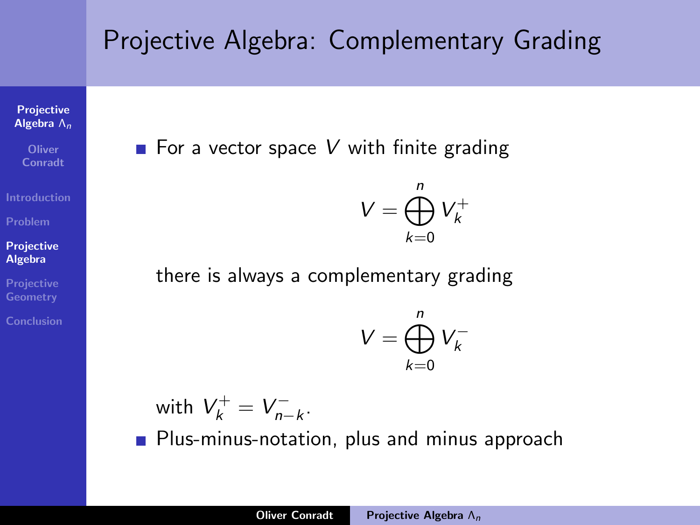# <span id="page-8-0"></span>Projective Algebra: Complementary Grading

[Projective](#page-0-0) Algebra  $\overline{\Lambda_n}$ 

**Oliver** Conradt

**[Introduction](#page-1-0)** 

[Problem](#page-6-0)

#### [Projective](#page-8-0) Algebra

[Projective](#page-28-0) **Geometry** 

[Conclusion](#page-42-0)

### For a vector space  $V$  with finite grading

$$
V=\bigoplus_{k=0}^n V_k^+
$$

there is always a complementary grading

$$
V = \bigoplus_{k=0}^n V_k^-
$$

with  $V_k^+ = V_{n-}^-$ ′–<br>n−k∙

**Plus-minus-notation, plus and minus approach**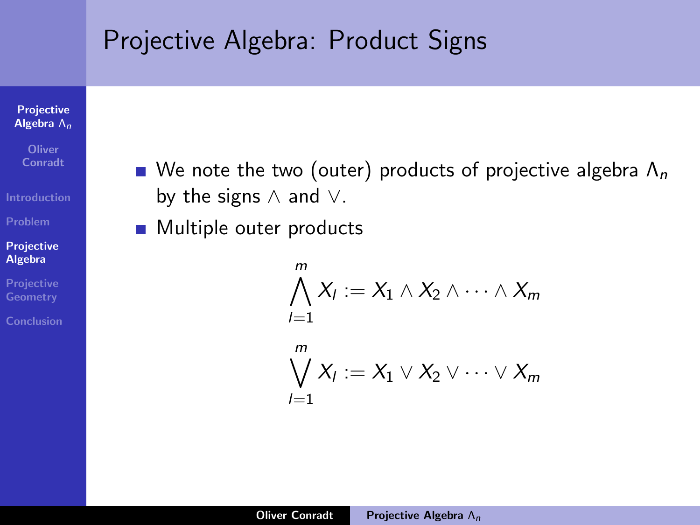# Projective Algebra: Product Signs

#### [Projective](#page-0-0) **Algebra**  $Λ_n$

**Oliver** Conradt

**[Introduction](#page-1-0)** 

[Problem](#page-6-0)

#### [Projective](#page-8-0) Algebra

[Projective](#page-28-0)

[Conclusion](#page-42-0)

- We note the two (outer) products of projective algebra  $\Lambda_n$ by the signs ∧ and ∨.
- **Multiple outer products**

$$
\bigwedge_{l=1}^{m} X_{l} := X_{1} \wedge X_{2} \wedge \cdots \wedge X_{m}
$$

$$
\bigvee_{l=1}^{m} X_{l} := X_{1} \vee X_{2} \vee \cdots \vee X_{m}
$$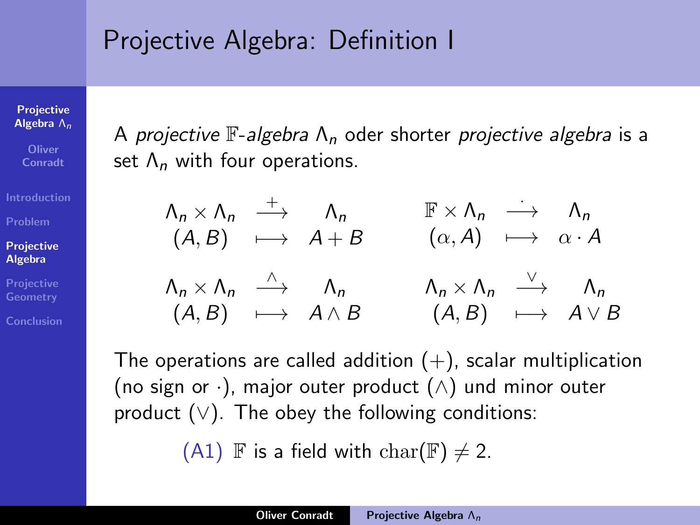# Projective Algebra: Definition I

[Projective](#page-0-0) Algebra Λn

**Oliver** Conradt

[Introduction](#page-1-0)

[Problem](#page-6-0)

[Projective](#page-8-0) Algebra

**[Projective](#page-28-0) Geometry** 

[Conclusion](#page-42-0)

A projective  $\mathbb{F}$ -algebra  $\Lambda_n$  oder shorter projective algebra is a set  $\Lambda_n$  with four operations.

$$
\begin{array}{ccccccc}\n\Lambda_n \times \Lambda_n & \xrightarrow{+} & \Lambda_n & \mathbb{F} \times \Lambda_n & \xrightarrow{\cdot} & \Lambda_n \\
(A, B) & \xrightarrow{\cdot} & A + B & (\alpha, A) & \xrightarrow{\cdot} & \alpha \cdot A \\
\Lambda_n \times \Lambda_n & \xrightarrow{\wedge} & \Lambda_n & \Lambda_n \times \Lambda_n & \xrightarrow{\vee} & \Lambda_n \\
(A, B) & \xrightarrow{\cdot} & A \wedge B & (A, B) & \xrightarrow{\cdot} & A \vee B\n\end{array}
$$

The operations are called addition  $(+)$ , scalar multiplication (no sign or  $\cdot$ ), major outer product ( $\wedge$ ) und minor outer product  $(\vee)$ . The obey the following conditions:

(A1) F is a field with  $char(\mathbb{F}) \neq 2$ .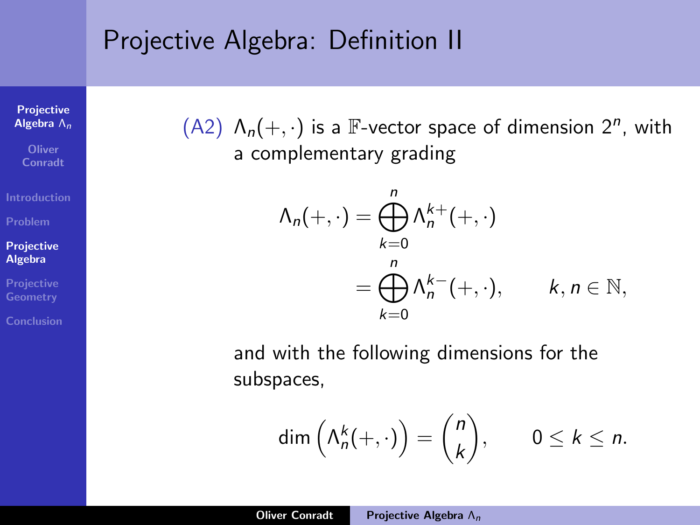# Projective Algebra: Definition II

[Projective](#page-0-0) Algebra  $\overline{\Lambda_n}$ 

**Oliver** Conradt

**[Introduction](#page-1-0)** 

[Problem](#page-6-0)

#### [Projective](#page-8-0) Algebra

[Projective](#page-28-0)

[Conclusion](#page-42-0)

(A2)  $\Lambda_n(+, \cdot)$  is a F-vector space of dimension  $2^n$ , with a complementary grading

$$
\Lambda_n(+, \cdot) = \bigoplus_{k=0}^n \Lambda_n^{k+}(+,\cdot)
$$
  
= 
$$
\bigoplus_{k=0}^n \Lambda_n^{k-}(+,\cdot), \qquad k, n \in \mathbb{N},
$$

and with the following dimensions for the subspaces,

$$
\dim\left(\Lambda_n^k(+,\cdot)\right)=\binom{n}{k},\qquad 0\leq k\leq n.
$$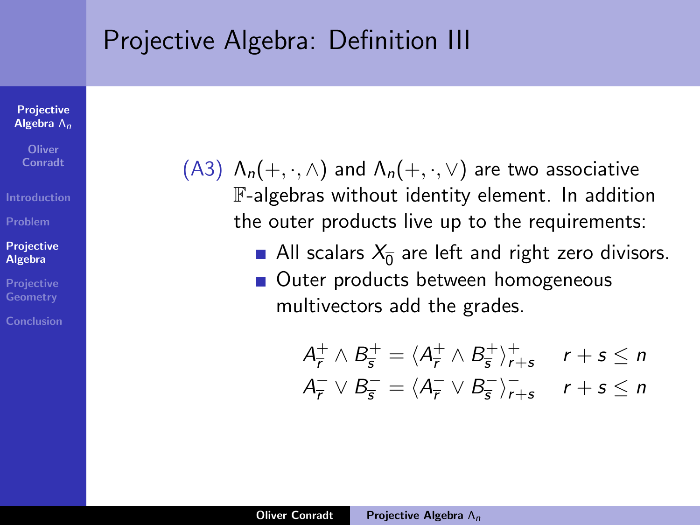# Projective Algebra: Definition III

[Projective](#page-0-0) Algebra  $\Lambda_n$ 

**Oliver** Conradt

[Introduction](#page-1-0)

[Problem](#page-6-0)

[Projective](#page-8-0) Algebra

[Projective](#page-28-0) **Geometry** 

[Conclusion](#page-42-0)

(A3)  $\Lambda_n(+, \cdot, \wedge)$  and  $\Lambda_n(+, \cdot, \vee)$  are two associative F-algebras without identity element. In addition the outer products live up to the requirements:

> All scalars  $\chi_{\overline{0}}$  are left and right zero divisors. Outer products between homogeneous multivectors add the grades.

$$
A^+_{\overline{r}} \wedge B^+_{\overline{s}} = \langle A^+_{\overline{r}} \wedge B^+_{\overline{s}} \rangle^+_{r+s} \quad r+s \leq n
$$
  

$$
A^-_{\overline{r}} \vee B^-_{\overline{s}} = \langle A^-_{\overline{r}} \vee B^-_{\overline{s}} \rangle^-_{r+s} \quad r+s \leq n
$$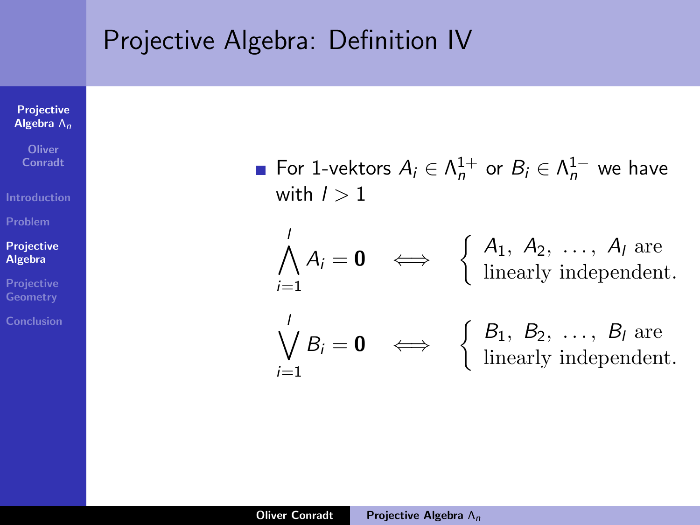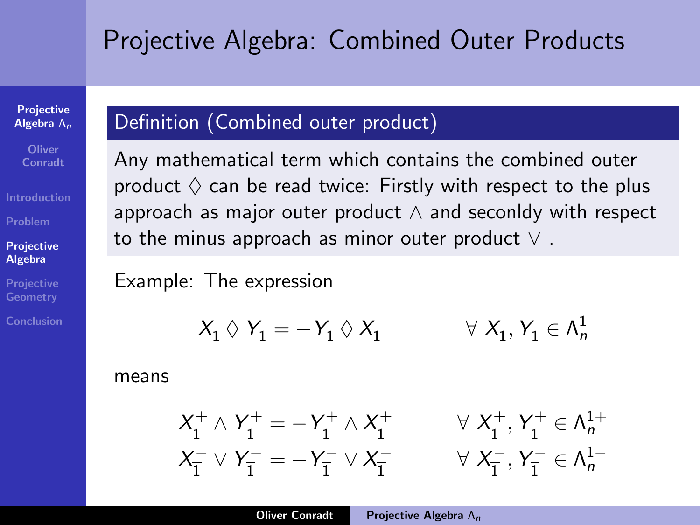# Projective Algebra: Combined Outer Products

[Projective](#page-0-0) Algebra Λn

**Oliver** Conradt

[Introduction](#page-1-0)

[Problem](#page-6-0)

#### [Projective](#page-8-0) Algebra

[Projective](#page-28-0) **Geometry** 

[Conclusion](#page-42-0)

### Definition (Combined outer product)

Any mathematical term which contains the combined outer product  $\Diamond$  can be read twice: Firstly with respect to the plus approach as major outer product  $\wedge$  and seconldy with respect to the minus approach as minor outer product  $\vee$ .

Example: The expression

$$
X_{\overline{1}} \Diamond Y_{\overline{1}} = -Y_{\overline{1}} \Diamond X_{\overline{1}} \qquad \forall X_{\overline{1}}, Y_{\overline{1}} \in \Lambda_n^1
$$

means

$$
\begin{array}{lll} X_{\overline{1}}^+ \wedge Y_{\overline{1}}^+ = -Y_{\overline{1}}^+ \wedge X_{\overline{1}}^+ & \forall \; X_{\overline{1}}^+ , Y_{\overline{1}}^+ \in \Lambda_n^{1+} \\ X_{\overline{1}}^- \vee Y_{\overline{1}}^- = -Y_{\overline{1}}^- \vee X_{\overline{1}}^- & \forall \; X_{\overline{1}}^- , Y_{\overline{1}}^- \in \Lambda_n^{1-} \end{array}
$$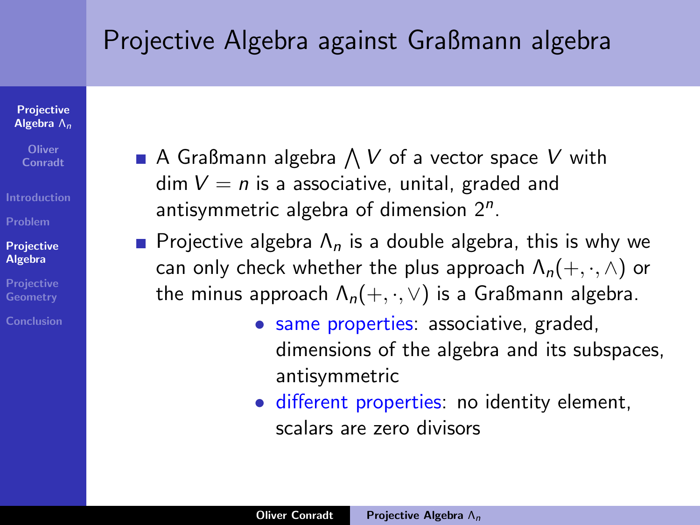# Projective Algebra against Graßmann algebra

[Projective](#page-0-0) Algebra Λn

- **Oliver** Conradt
- [Introduction](#page-1-0)
- [Problem](#page-6-0)
- [Projective](#page-8-0) Algebra
- [Projective](#page-28-0) **Geometry**
- [Conclusion](#page-42-0)
- A Graßmann algebra  $\bigwedge V$  of a vector space  $V$  with dim  $V = n$  is a associative, unital, graded and antisymmetric algebra of dimension  $2^n$ .
- **Projective algebra**  $\Lambda_n$  is a double algebra, this is why we can only check whether the plus approach  $\Lambda_n(+, \cdot, \wedge)$  or the minus approach  $\Lambda_n(+, \cdot, \vee)$  is a Graßmann algebra.
	- same properties: associative, graded, dimensions of the algebra and its subspaces, antisymmetric
	- different properties: no identity element, scalars are zero divisors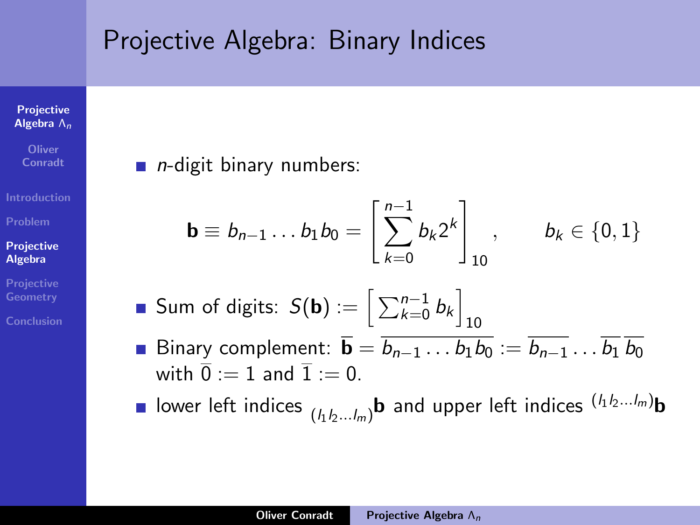## Projective Algebra: Binary Indices

**[Projective](#page-0-0)** Algebra Λn

**Oliver** Conradt

[Introduction](#page-1-0)

[Problem](#page-6-0)

#### [Projective](#page-8-0) Algebra

[Projective](#page-28-0) **Geometry** 

[Conclusion](#page-42-0)

**The State** n-digit binary numbers:

$$
\mathbf{b} \equiv b_{n-1} \dots b_1 b_0 = \left[ \sum_{k=0}^{n-1} b_k 2^k \right]_{10}, \qquad b_k \in \{0, 1\}
$$

Sum of digits:  $\mathcal{S}(\mathbf{b}):=\left\lceil \sum_{k=0}^{n-1}b_k\right\rceil$ 10

Binary complement:  $\overline{\mathbf{b}} = \overline{b_{n-1} \dots b_1 b_0} := \overline{b_{n-1} \dots b_1}$  $\mathcal{L}_{\mathcal{A}}$ with  $\overline{0} = 1$  and  $\overline{1} = 0$ .

lower left indices  $_{(l_1l_2...l_m)}$ b and upper left indices  ${}^{(l_1l_2...l_m)}$ b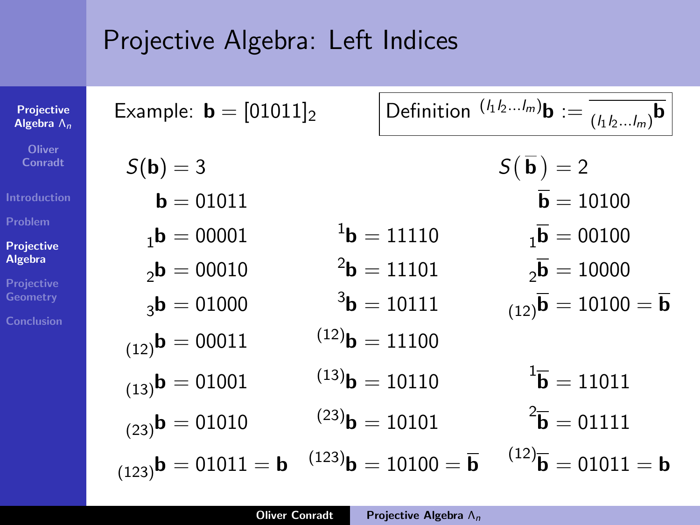|                                          | Projective Algebra: Left Indices    |                                           |                                                                                  |
|------------------------------------------|-------------------------------------|-------------------------------------------|----------------------------------------------------------------------------------|
| <b>Projective</b><br>Algebra $\Lambda_n$ | Example: $b = [01011]_2$            |                                           | Definition $^{(l_1l_2l_m)}\mathbf{b} := \overline{\binom{l_1l_2l_m}{l_1l_2l_m}}$ |
| <b>Oliver</b><br><b>Conradt</b>          | $S(b) = 3$                          |                                           | $S(\overline{\mathbf{b}})=2$                                                     |
| <b>Introduction</b>                      | $b = 01011$                         |                                           | $\overline{\mathbf{b}}=10100$                                                    |
| Problem<br><b>Projective</b>             | $_{1}$ <b>b</b> = 00001             | $11b = 11110$                             | $\overline{ab} = 00100$                                                          |
| <b>Algebra</b>                           | $_{2}$ <b>b</b> = 00010             | $^{2}$ <b>b</b> = 11101                   | $\overline{\mathbf{b}} = 10000$                                                  |
| <b>Projective</b><br><b>Geometry</b>     | $_{3}$ <b>b</b> = 01000             | $3b = 10111$                              | $\overline{(\overline{b})} = 10100 = \overline{b}$                               |
| <b>Conclusion</b>                        | $(12)$ <b>b</b> = 00011             | $(12)$ <b>b</b> = 11100                   |                                                                                  |
|                                          | $(13)$ <b>b</b> = 01001             | $(13)$ <b>b</b> = 10110                   | $^{1}$ <b>b</b> = 11011                                                          |
|                                          | $(23)$ <b>b</b> = 01010             | $(23)$ <b>b</b> = 10101                   | $^{2}\bar{b} = 01111$                                                            |
|                                          | $(123)$ <b>b</b> = 01011 = <b>b</b> | $(123)$ <b>b</b> = 10100 = $\overline{b}$ | $(12)\bar{b} = 01011 = b$                                                        |

 $\overline{C}$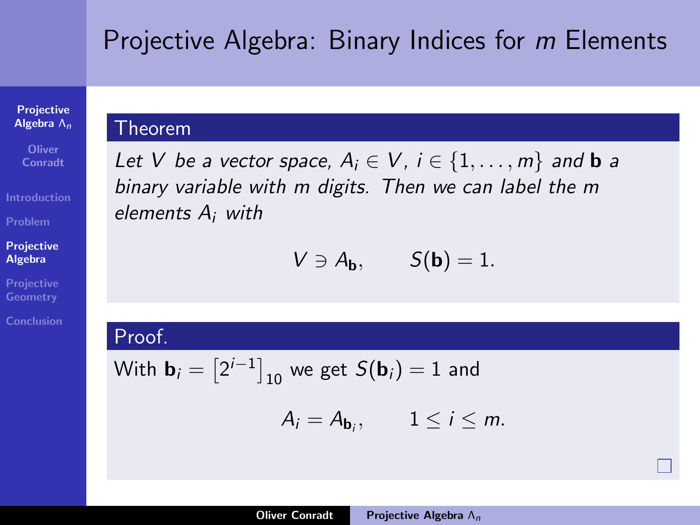# Projective Algebra: Binary Indices for *m* Elements

[Projective](#page-0-0) Algebra  $\overline{\Lambda_n}$ 

**Oliver** Conradt

**[Introduction](#page-1-0)** 

[Problem](#page-6-0)

#### [Projective](#page-8-0) Algebra

[Projective](#page-28-0) **Geometry** 

[Conclusion](#page-42-0)

### Theorem

Let V be a vector space,  $A_i \in V$ ,  $i \in \{1, \ldots, m\}$  and **b** a binary variable with m digits. Then we can label the m elements A<sup>i</sup> with

$$
V \ni A_{\mathbf{b}}, \qquad S(\mathbf{b}) = 1.
$$

### Proof.

With 
$$
\mathbf{b}_i = \left[2^{i-1}\right]_{10}
$$
 we get  $S(\mathbf{b}_i) = 1$  and

$$
A_i = A_{\mathbf{b}_i}, \qquad 1 \leq i \leq m.
$$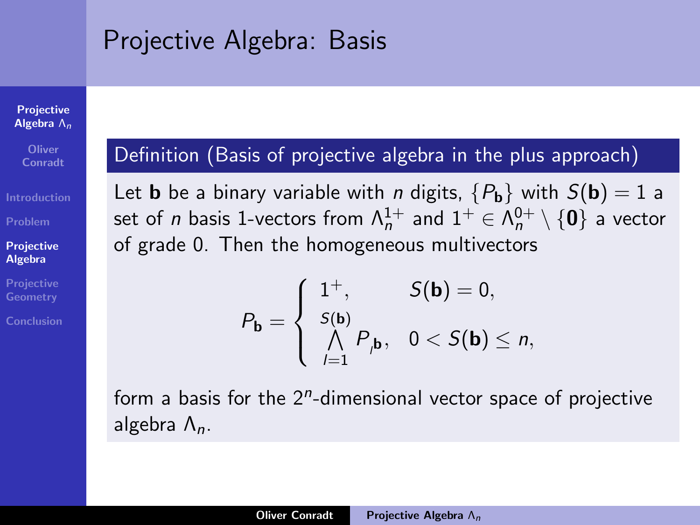## Projective Algebra: Basis

#### [Projective](#page-0-0) Algebra Λn

**Oliver** Conradt

[Introduction](#page-1-0)

[Problem](#page-6-0)

#### [Projective](#page-8-0) Algebra

[Projective](#page-28-0) **Geometry** 

[Conclusion](#page-42-0)

### Definition (Basis of projective algebra in the plus approach)

Let **b** be a binary variable with *n* digits,  ${P_b}$  with  $S(b) = 1$  a set of  $n$  basis 1-vectors from  $\Lambda_n^{1+}$  and  $1^+ \in \Lambda_n^{0+} \setminus \{\bold{0}\}$  a vector of grade 0. Then the homogeneous multivectors

$$
P_{\mathbf{b}} = \begin{cases} 1^+, & S(\mathbf{b}) = 0, \\ \begin{array}{c} S(\mathbf{b}) \\ \bigwedge_{l=1}^K P_{j\mathbf{b}}, & 0 < S(\mathbf{b}) \leq n, \end{array} \end{cases}
$$

form a basis for the  $2^n$ -dimensional vector space of projective algebra  $\Lambda_n$ .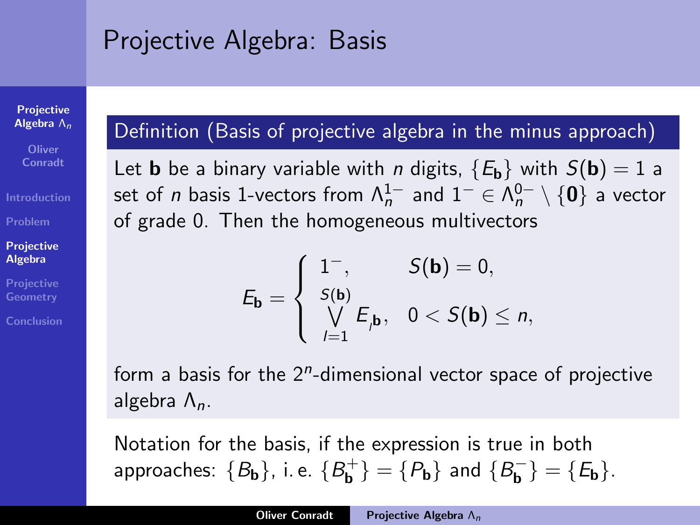# Projective Algebra: Basis

[Projective](#page-0-0) Algebra Λn

**Oliver** Conradt

**[Introduction](#page-1-0)** 

[Problem](#page-6-0)

#### [Projective](#page-8-0) Algebra

[Projective](#page-28-0) **Geometry** 

[Conclusion](#page-42-0)

### Definition (Basis of projective algebra in the minus approach)

Let **b** be a binary variable with *n* digits,  ${E_{\bf{b}}}$  with  $S({\bf{b}}) = 1$  a set of  $n$  basis 1-vectors from  $\Lambda_n^{1-}$  and  $1^- \in \Lambda_n^{0-} \setminus \{\bold{0}\}$  a vector of grade 0. Then the homogeneous multivectors

$$
E_{\mathbf{b}} = \left\{ \begin{array}{ll} 1^{-}, & S(\mathbf{b}) = 0, \\ S(\mathbf{b}) & \bigvee_{l=1}^{S(\mathbf{b})} E_{j\mathbf{b}}, & 0 < S(\mathbf{b}) \leq n, \end{array} \right.
$$

form a basis for the  $2^n$ -dimensional vector space of projective algebra  $\Lambda_n$ .

Notation for the basis, if the expression is true in both approaches:  ${B_{\bf b}}$ , i.e.  ${B_{\bf b}^+}$  $\{P_{\mathbf{b}}^{+}\} = \{P_{\mathbf{b}}\}$  and  $\{B_{\mathbf{b}}^{-}\}$  $\{E_{\mathbf{b}}\} = \{E_{\mathbf{b}}\}.$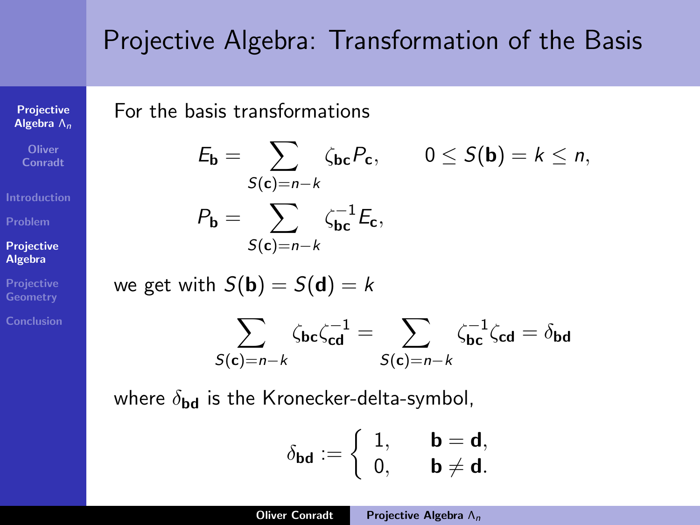# Projective Algebra: Transformation of the Basis

**[Projective](#page-0-0) Algebra**  $Λ_n$ 

> **Oliver** Conradt

[Introduction](#page-1-0)

[Projective](#page-8-0) Algebra

[Projective](#page-28-0)

[Conclusion](#page-42-0)

For the basis transformations

$$
E_{\mathbf{b}} = \sum_{S(\mathbf{c})=n-k} \zeta_{\mathbf{b}\mathbf{c}} P_{\mathbf{c}}, \qquad 0 \le S(\mathbf{b}) = k \le n,
$$
  

$$
P_{\mathbf{b}} = \sum_{S(\mathbf{c})=n-k} \zeta_{\mathbf{b}\mathbf{c}}^{-1} E_{\mathbf{c}},
$$

we get with 
$$
S(\mathbf{b}) = S(\mathbf{d}) = k
$$

$$
\sum_{S(\mathbf{c})=n-k} \zeta_{\mathbf{b}\mathbf{c}} \zeta_{\mathbf{c}\mathbf{d}}^{-1} = \sum_{S(\mathbf{c})=n-k} \zeta_{\mathbf{b}\mathbf{c}}^{-1} \zeta_{\mathbf{c}\mathbf{d}} = \delta_{\mathbf{b}\mathbf{d}}
$$

where  $\delta_{\bf bd}$  is the Kronecker-delta-symbol,

$$
\delta_{\text{bd}}:=\left\{\begin{array}{ll} 1, \quad & \text{b}=\text{d},\\ 0, \quad & \text{b}\neq \text{d}. \end{array}\right.
$$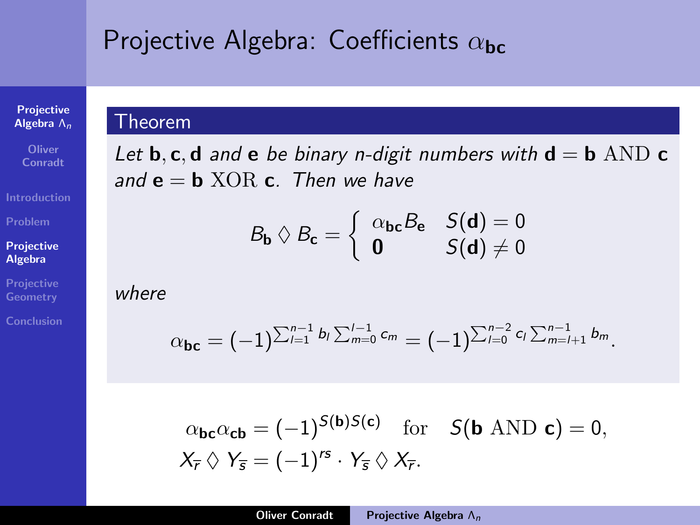# Projective Algebra: Coefficients  $\alpha_{bc}$

**[Projective](#page-0-0) Algebra**  $Λ_n$ 

**Oliver** Conradt

[Introduction](#page-1-0)

[Projective](#page-8-0) Algebra

[Projective](#page-28-0)

[Conclusion](#page-42-0)

### Let **b**, **c**, **d** and **e** be binary n-digit numbers with  $d = b$  AND **c** and  $e = h$  XOR c. Then we have

$$
B_{\mathbf{b}} \lozenge B_{\mathbf{c}} = \left\{ \begin{array}{ll} \alpha_{\mathbf{b}\mathbf{c}} B_{\mathbf{e}} & S(\mathbf{d}) = 0 \\ \mathbf{0} & S(\mathbf{d}) \neq 0 \end{array} \right.
$$

where

Theorem

$$
\alpha_{\text{bc}} = (-1)^{\sum_{l=1}^{n-1} b_l \sum_{m=0}^{l-1} c_m} = (-1)^{\sum_{l=0}^{n-2} c_l \sum_{m=l+1}^{n-1} b_m}.
$$

$$
\alpha_{\mathbf{bc}}\alpha_{\mathbf{cb}} = (-1)^{S(\mathbf{b})S(\mathbf{c})} \quad \text{for} \quad S(\mathbf{b} \text{ AND } \mathbf{c}) = 0,
$$
  

$$
X_{\overline{r}} \diamondsuit Y_{\overline{s}} = (-1)^{rs} \cdot Y_{\overline{s}} \diamondsuit X_{\overline{r}}.
$$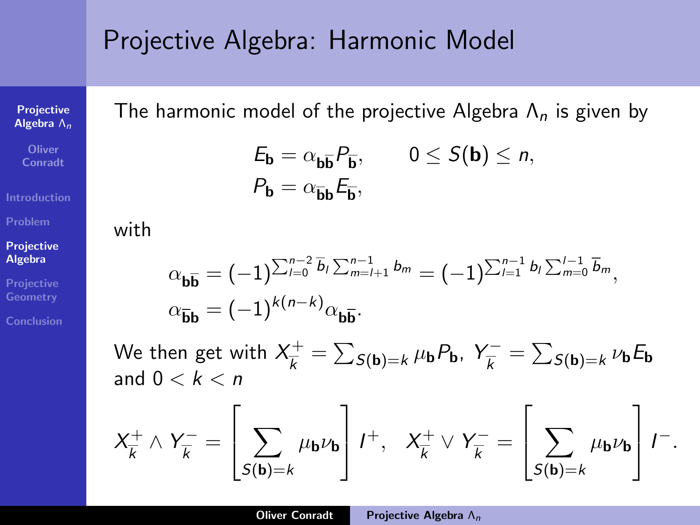## Projective Algebra: Harmonic Model

[Projective](#page-0-0) Algebra  $\overline{\Lambda_n}$ 

**Oliver** Conradt

**[Introduction](#page-1-0)** 

[Problem](#page-6-0)

#### [Projective](#page-8-0) Algebra

[Projective](#page-28-0) **Geometry** 

[Conclusion](#page-42-0)

The harmonic model of the projective Algebra  $\Lambda_n$  is given by

$$
E_{\mathbf{b}} = \alpha_{\mathbf{b}\overline{\mathbf{b}}} P_{\overline{\mathbf{b}}}, \qquad 0 \le S(\mathbf{b}) \le n,
$$
  

$$
P_{\mathbf{b}} = \alpha_{\overline{\mathbf{b}}\mathbf{b}} E_{\overline{\mathbf{b}}},
$$

with

$$
\alpha_{\mathbf{b}\overline{\mathbf{b}}} = (-1)^{\sum_{l=0}^{n-2} \overline{b}_l \sum_{m=l+1}^{n-1} b_m} = (-1)^{\sum_{l=1}^{n-1} b_l \sum_{m=0}^{l-1} \overline{b}_m},
$$
  

$$
\alpha_{\overline{\mathbf{b}}\mathbf{b}} = (-1)^{k(n-k)} \alpha_{\mathbf{b}\overline{\mathbf{b}}}.
$$

We then get with  $X_{\overline{k}}^+$  $K^+_{\overline{k}} = \sum_{\mathcal{S}(\textbf{b})=k} \mu_{\textbf{b}} P_{\textbf{b}}$ ,  $Y^-_{\overline{k}}$  $\frac{\sqrt{-}}{k} = \sum_{\mathcal{S}(\mathbf{b})=k} \nu_{\mathbf{b}} E_{\mathbf{b}}$ and  $0 < k < n$ 

$$
X_{\overline{k}}^+ \wedge Y_{\overline{k}}^- = \left[ \sum_{S(\mathbf{b})=k} \mu_{\mathbf{b}} \nu_{\mathbf{b}} \right] I^+, \quad X_{\overline{k}}^+ \vee Y_{\overline{k}}^- = \left[ \sum_{S(\mathbf{b})=k} \mu_{\mathbf{b}} \nu_{\mathbf{b}} \right] I^-.
$$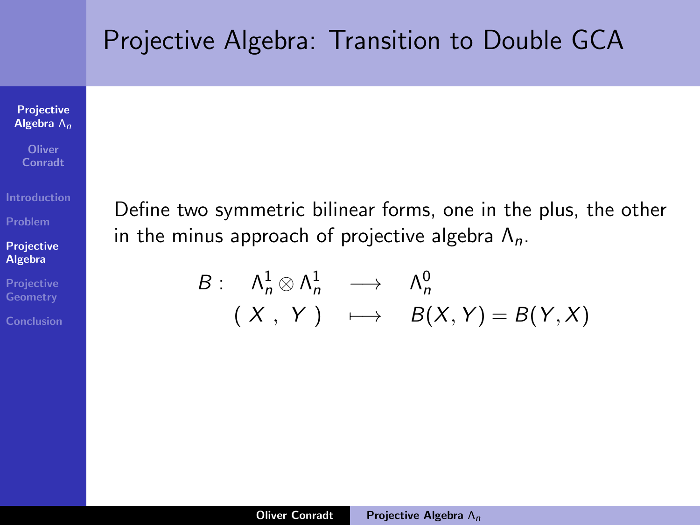# Projective Algebra: Transition to Double GCA

[Projective](#page-0-0) Algebra  $\overline{\Lambda_n}$ 

**Oliver** Conradt

**[Introduction](#page-1-0)** 

#### [Projective](#page-8-0) Algebra

[Projective](#page-28-0) **Geometry** 

[Conclusion](#page-42-0)

Define two symmetric bilinear forms, one in the plus, the other in the minus approach of projective algebra  $\Lambda_n$ .

$$
B: \quad \Lambda_n^1 \otimes \Lambda_n^1 \quad \longrightarrow \quad \Lambda_n^0 \qquad (X \, , \, Y \, ) \quad \longmapsto \quad B(X,Y) = B(Y,X)
$$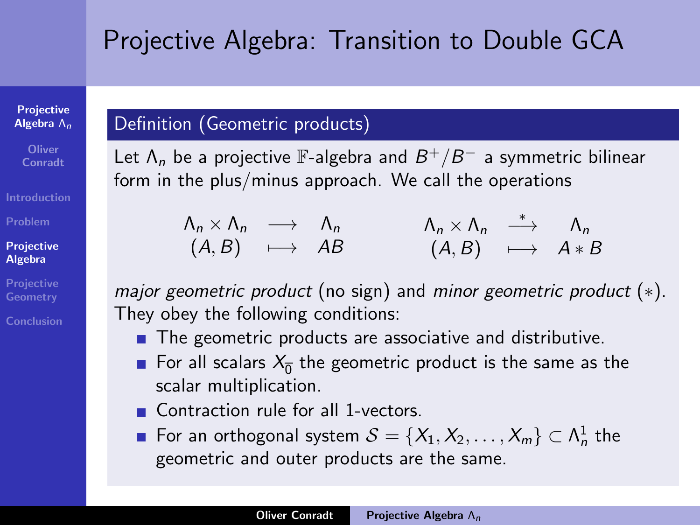# Projective Algebra: Transition to Double GCA

[Projective](#page-0-0) Algebra Λn

**Oliver** Conradt

[Introduction](#page-1-0)

[Problem](#page-6-0)

**[Projective](#page-8-0)** Algebra

[Projective](#page-28-0)

[Conclusion](#page-42-0)

### Definition (Geometric products)

Let  $\Lambda_n$  be a projective  $\mathbb{F}\text{-algebra}$  and  $B^+/B^-$  a symmetric bilinear form in the plus/minus approach. We call the operations

$$
\begin{array}{ccccccc}\n\Lambda_n \times \Lambda_n & \longrightarrow & \Lambda_n & & \Lambda_n \times \Lambda_n & \stackrel{*}{\longrightarrow} & \Lambda_n \\
(A, B) & \longmapsto & AB & & (A, B) & \longmapsto & A * B\n\end{array}
$$

major geometric product (no sign) and minor geometric product  $(*)$ . They obey the following conditions:

- **The geometric products are associative and distributive.**
- For all scalars  $X_{\overline{0}}$  the geometric product is the same as the scalar multiplication.
- Contraction rule for all 1-vectors.
- For an orthogonal system  $\mathcal{S} = \{X_1, X_2, \ldots, X_m\} \subset \Lambda_n^1$  the geometric and outer products are the same.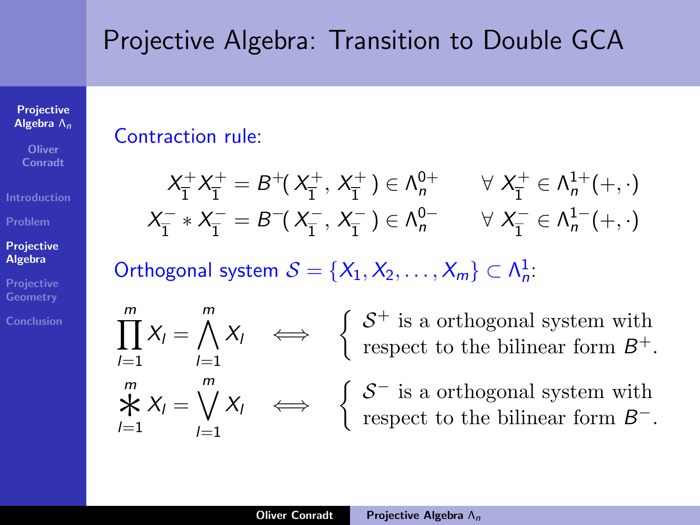# Projective Algebra: Transition to Double GCA

#### [Projective](#page-0-0) Algebra Λn

Contraction rule:

 $X_l = \bigwedge^m$ 

 $X_l = \bigvee^m$ 

 $l=1$ 

 $l=1$ 

**Oliver** Conradt

[Problem](#page-6-0)

#### [Projective](#page-8-0) Algebra

[Projective](#page-28-0) **Geometry** 

[Conclusion](#page-42-0)

 $\prod^m$ 

 $l=1$ 

 $\overset{m}{\star}_{l=1}$ 

$$
X_{\overline{1}}^{+}X_{\overline{1}}^{+} = B^{+}(X_{\overline{1}}^{+}, X_{\overline{1}}^{+}) \in \Lambda_{n}^{0+} \qquad \forall \ X_{\overline{1}}^{+} \in \Lambda_{n}^{1+}(+,\cdot)
$$
  

$$
X_{\overline{1}}^{-} * X_{\overline{1}}^{-} = B^{-}(X_{\overline{1}}^{-}, X_{\overline{1}}^{-}) \in \Lambda_{n}^{0-} \qquad \forall \ X_{\overline{1}}^{-} \in \Lambda_{n}^{1-}(+,\cdot)
$$

Orthogonal system  $S = \{X_1, X_2, \ldots, X_m\} \subset \Lambda_n^1$ :

 $X_l \iff \left\{ \begin{array}{l} \mathcal{S}^+ \text{ is a orthogonal system with} \\ \text{respect to the bilinear form } \mathcal{B}^+ \end{array} \right.$ respect to the bilinear form  $B^+$ .

 $X_l \iff \left\{ \begin{array}{l} \mathcal{S}^- \text{ is a orthogonal system with} \\ \text{compact to the bilinear form } \mathcal{B}^- \end{array} \right.$ respect to the bilinear form  $B^-$ .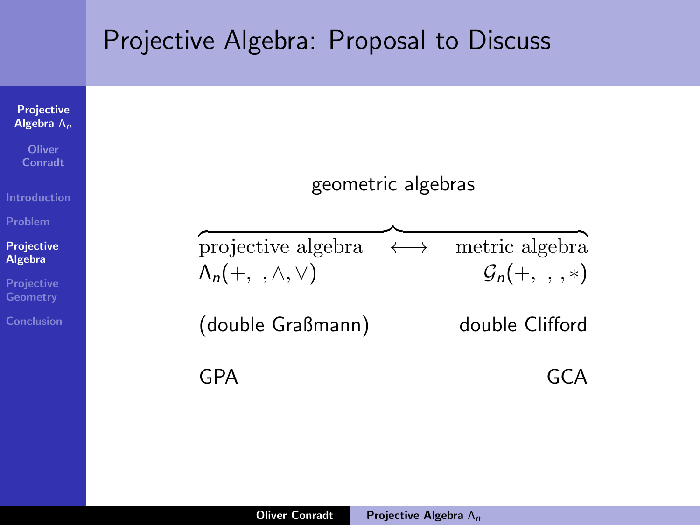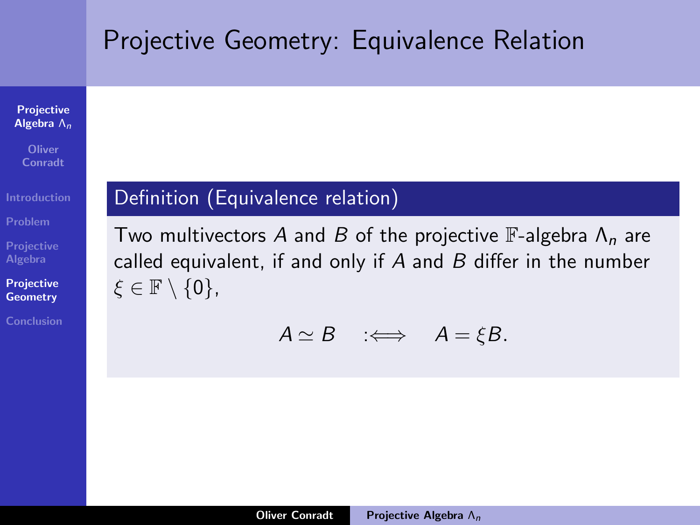# <span id="page-28-0"></span>Projective Geometry: Equivalence Relation

#### **[Projective](#page-0-0)** Algebra Λn

**Oliver** Conradt

**[Introduction](#page-1-0)** 

[Problem](#page-6-0)

[Projective](#page-8-0) Algebra

[Projective](#page-28-0) **Geometry** 

[Conclusion](#page-42-0)

### Definition (Equivalence relation)

Two multivectors A and B of the projective F-algebra  $\Lambda_n$  are called equivalent, if and only if  $A$  and  $B$  differ in the number  $\xi \in \mathbb{F} \setminus \{0\},\$ 

$$
A \simeq B \quad : \Longleftrightarrow \quad A = \xi B.
$$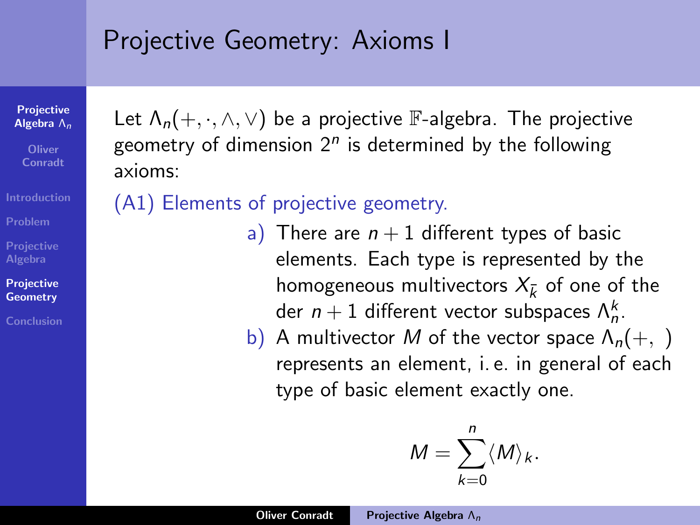# Projective Geometry: Axioms I

**[Projective](#page-0-0)** Algebra Λn

**Oliver** Conradt

**[Introduction](#page-1-0)** 

[Problem](#page-6-0)

[Projective](#page-8-0) Algebra

[Projective](#page-28-0) **Geometry** 

[Conclusion](#page-42-0)

Let  $\Lambda_n(+, \cdot, \wedge, \vee)$  be a projective F-algebra. The projective geometry of dimension  $2^n$  is determined by the following axioms:

(A1) Elements of projective geometry.

- a) There are  $n+1$  different types of basic elements. Each type is represented by the homogeneous multivectors  $X_{\bar{\nu}}$  of one of the der  $n+1$  different vector subspaces  $\Lambda_n^k$ .
- b) A multivector M of the vector space  $\Lambda_n(+,.)$ represents an element, i. e. in general of each type of basic element exactly one.

$$
M=\sum_{k=0}^n \langle M\rangle_k.
$$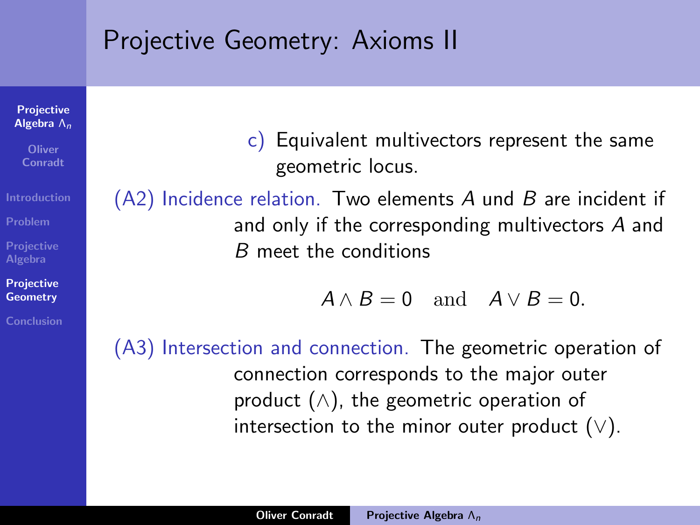|                                                               | Projective Geometry: Axioms II                                                                                                                               |  |  |
|---------------------------------------------------------------|--------------------------------------------------------------------------------------------------------------------------------------------------------------|--|--|
| <b>Projective</b><br>Algebra $\Lambda_n$<br>Oliver<br>Conradt | c) Equivalent multivectors represent the same<br>geometric locus.                                                                                            |  |  |
| <b>Introduction</b>                                           | $(A2)$ Incidence relation. Two elements A und B are incident if                                                                                              |  |  |
| Problem                                                       | and only if the corresponding multivectors A and                                                                                                             |  |  |
| Projective<br>Algebra                                         | B meet the conditions                                                                                                                                        |  |  |
| Projective<br><b>Geometry</b>                                 | $A \wedge B = 0$ and $A \vee B = 0$ .                                                                                                                        |  |  |
| <b>Conclusion</b>                                             |                                                                                                                                                              |  |  |
|                                                               | (A3) Intersection and connection. The geometric operation of<br>connection corresponds to the major outer<br>product $(\wedge)$ , the geometric operation of |  |  |

intersection to the minor outer product  $(\vee).$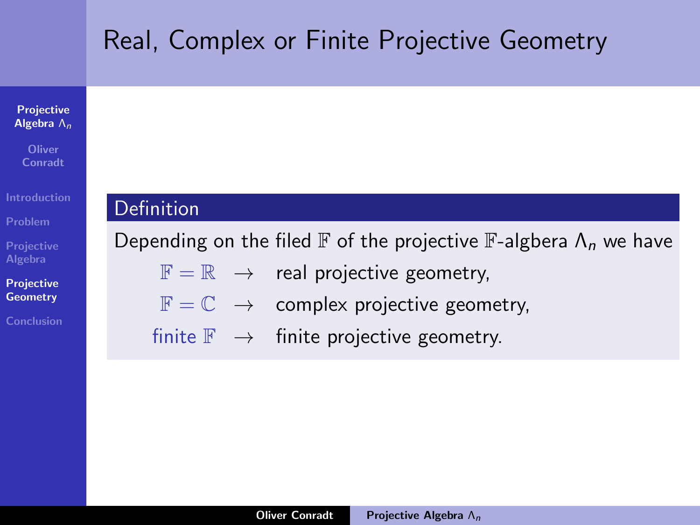# Real, Complex or Finite Projective Geometry

#### **[Projective](#page-0-0)** Algebra Λn

**Oliver** Conradt

**[Introduction](#page-1-0)** 

[Problem](#page-6-0)

[Projective](#page-8-0) Algebra

[Projective](#page-28-0) **Geometry** 

[Conclusion](#page-42-0)

### Definition

Depending on the filed  $\mathbb F$  of the projective  $\mathbb F$ -algbera  $\Lambda_n$  we have

- $\mathbb{F} = \mathbb{R} \rightarrow$  real projective geometry,
- $\mathbb{F} = \mathbb{C} \rightarrow$  complex projective geometry,

finite  $\mathbb{F} \rightarrow$  finite projective geometry.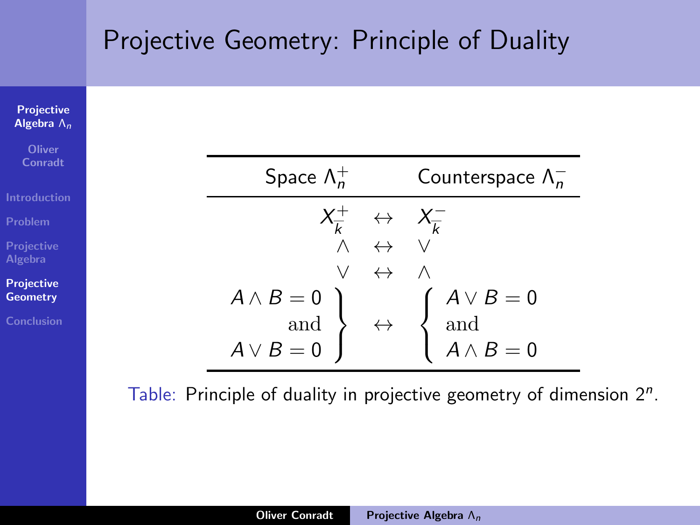# Projective Geometry: Principle of Duality



Table: Principle of duality in projective geometry of dimension  $2^n$ .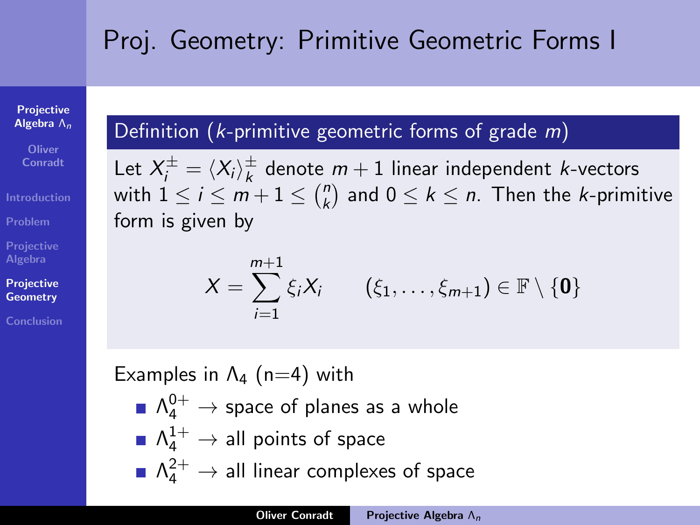# Proj. Geometry: Primitive Geometric Forms I

**[Projective](#page-0-0)** Algebra Λn

> **Oliver Conradt**

[Problem](#page-6-0)

[Projective](#page-8-0) Algebra

**[Projective](#page-28-0) Geometry** 

[Conclusion](#page-42-0)

### Definition ( $k$ -primitive geometric forms of grade  $m$ )

Let  $X_i^{\pm} = \langle X_i \rangle_k^{\pm}$  $\frac{\pi}{k}$  denote  $m+1$  linear independent *k*-vectors with  $1\leq i\leq\overline{m}+1\leq\binom{n}{k}$  $\binom{n}{k}$  and  $0 \leq k \leq n$ . Then the *k*-primitive form is given by

$$
X=\sum_{i=1}^{m+1}\xi_iX_i \qquad (\xi_1,\ldots,\xi_{m+1})\in\mathbb{F}\setminus\{\mathbf{0}\}\
$$

Examples in  $\Lambda_4$  (n=4) with  $\Lambda_4^{0+}\to$  space of planes as a whole  $\Lambda_4^{1+}\to$  all points of space  $\Lambda_4^{2+}\to$  all linear complexes of space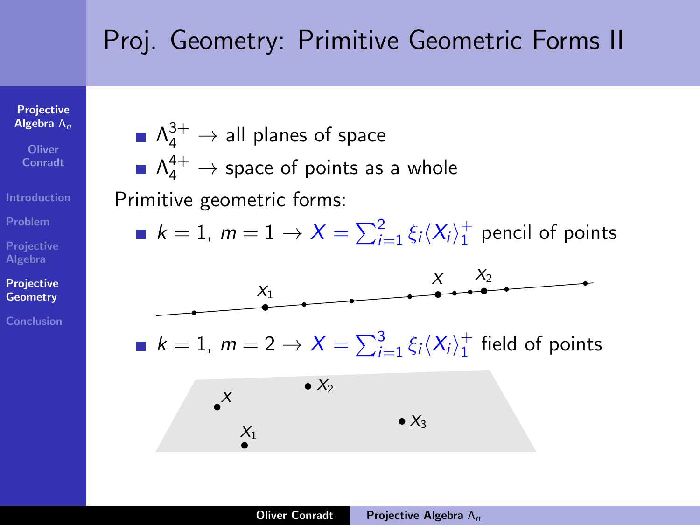# Proj. Geometry: Primitive Geometric Forms II

[Projective](#page-0-0) Algebra  $\Lambda_n$ 

- **Oliver** Conradt
- **[Introduction](#page-1-0)**
- [Problem](#page-6-0)
- [Projective](#page-8-0) Algebra
- [Projective](#page-28-0) **Geometry**
- **[Conclusion](#page-42-0)**
- $\Lambda_4^{3+}\to$  all planes of space  $\Lambda_4^{4+}\to$  space of points as a whole
- Primitive geometric forms:
	- $k=1,~m=1 \rightarrow X=\sum_{i=1}^2 \xi_i \langle X_i \rangle^+_1$  pencil of points



 $k=1,~m=2 \rightarrow X=\sum_{i=1}^3 \xi_i \langle X_i \rangle^+_1$  field of points

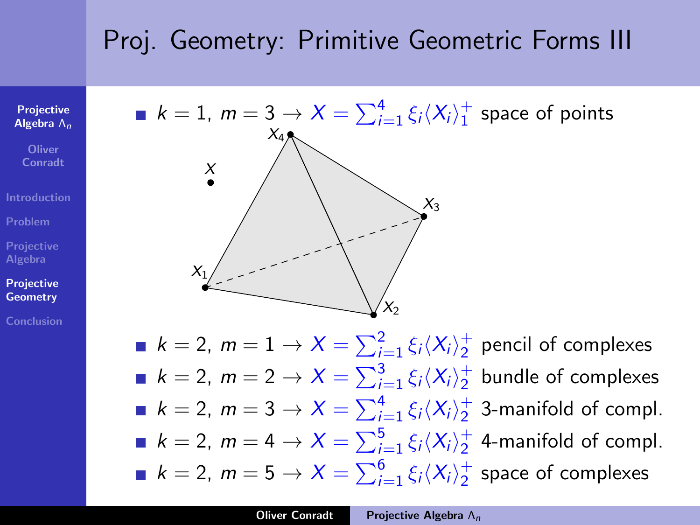# Proj. Geometry: Primitive Geometric Forms III

**[Projective](#page-0-0)** Algebra  $\Lambda_n$ 

**Oliver** Conradt

[Introduction](#page-1-0)

[Problem](#page-6-0)

[Projective](#page-8-0) Algebra

**[Projective](#page-28-0) Geometry** 

[Conclusion](#page-42-0)

 $k=1,~m=3 \rightarrow X=\sum_{i=1}^4 \xi_i \langle X_i \rangle^+_1$  space of points  $X_4$  $X_2$  $X_1$  $X_3$  $\frac{X}{2}$ 

 $k=2,~m=1 \rightarrow X=\sum_{i=1}^2 \xi_i \langle X_i \rangle^+_2$  pencil of complexes  $k=2,~m=2 \rightarrow X=\sum_{i=1}^{3}\xi_i\langle X_i\rangle^+_2$  bundle of complexes  $k=2, m=3 \rightarrow X=\sum_{i=1}^4 \xi_i \langle X_i \rangle^+_2$  3-manifold of compl.  $k = 2$ ,  $m = 4 \rightarrow X = \sum_{i=1}^{5} \xi_i \langle X_i \rangle \frac{1}{2}$  4-manifold of compl.  $k=2,~m=5 \rightarrow X=\sum_{i=1}^{6}\xi_i\langle X_i\rangle^+_2$  space of complexes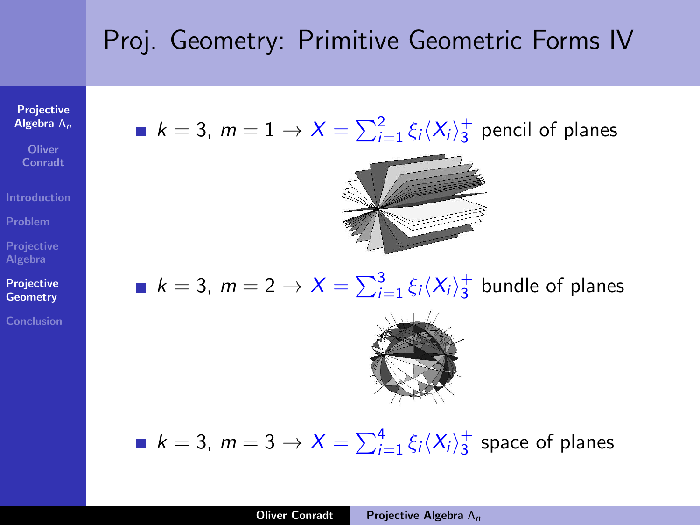# Proj. Geometry: Primitive Geometric Forms IV

**[Projective](#page-0-0)** Algebra  $\Lambda_n$ 

**Oliver** Conradt

[Introduction](#page-1-0)

[Problem](#page-6-0)

[Projective](#page-8-0) Algebra

[Projective](#page-28-0) **Geometry** 

[Conclusion](#page-42-0)





 $k=3,~m=2 \rightarrow X=\sum_{i=1}^3 \xi_i \langle X_i \rangle^+_3$  bundle of planes



 $k=3,~m=3 \rightarrow X=\sum_{i=1}^4 \xi_i \langle X_i \rangle^+_3$  space of planes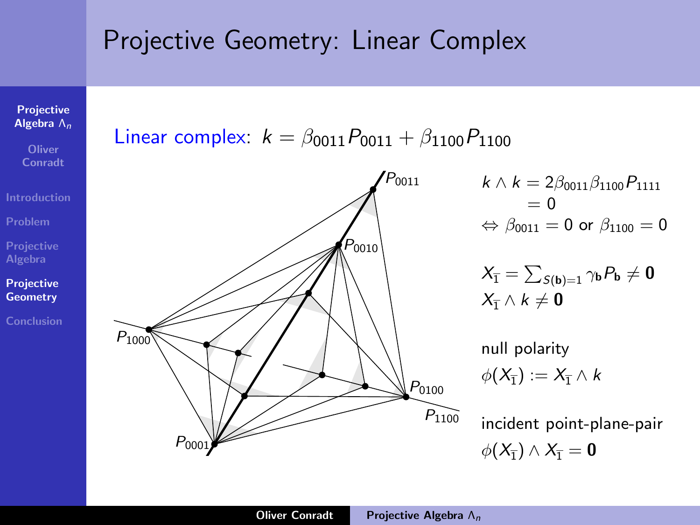# Projective Geometry: Linear Complex



**Oliver** Conradt

[Introduction](#page-1-0)

[Problem](#page-6-0)

[Projective](#page-8-0) Algebra

[Projective](#page-28-0) **Geometry** 

[Conclusion](#page-42-0)



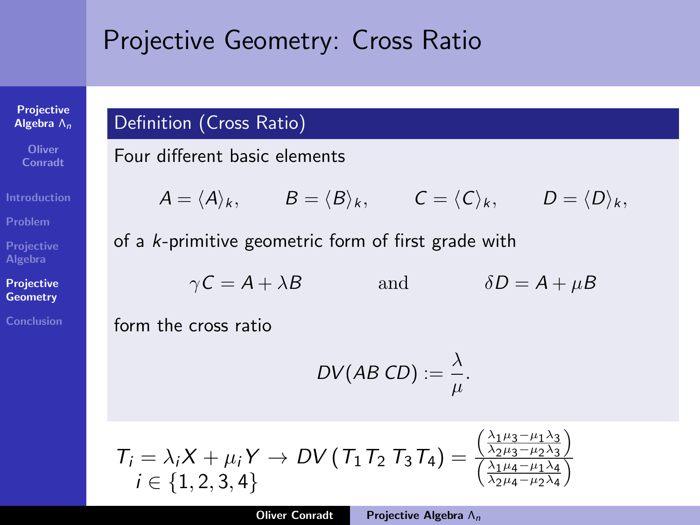# Projective Geometry: Cross Ratio

[Projective](#page-0-0) **Algebra**  $Λ_n$ 

**Oliver** Conradt

**[Introduction](#page-1-0)** 

[Projective](#page-8-0) Algebra

[Projective](#page-28-0) **Geometry** 

[Conclusion](#page-42-0)

### Definition (Cross Ratio)

Four different basic elements

$$
A = \langle A \rangle_k
$$
,  $B = \langle B \rangle_k$ ,  $C = \langle C \rangle_k$ ,  $D = \langle D \rangle_k$ ,

of a k-primitive geometric form of first grade with

 $\gamma C = A + \lambda B$  and  $\delta D = A + \mu B$ 

form the cross ratio

$$
DV(ABCD):=\frac{\lambda}{\mu}.
$$

$$
T_i = \lambda_i X + \mu_i Y \rightarrow DV (T_1 T_2 T_3 T_4) = \frac{\left(\frac{\lambda_1 \mu_3 - \mu_1 \lambda_3}{\lambda_2 \mu_3 - \mu_2 \lambda_3}\right)}{\left(\frac{\lambda_1 \mu_4 - \mu_1 \lambda_4}{\lambda_2 \mu_4 - \mu_2 \lambda_4}\right)}
$$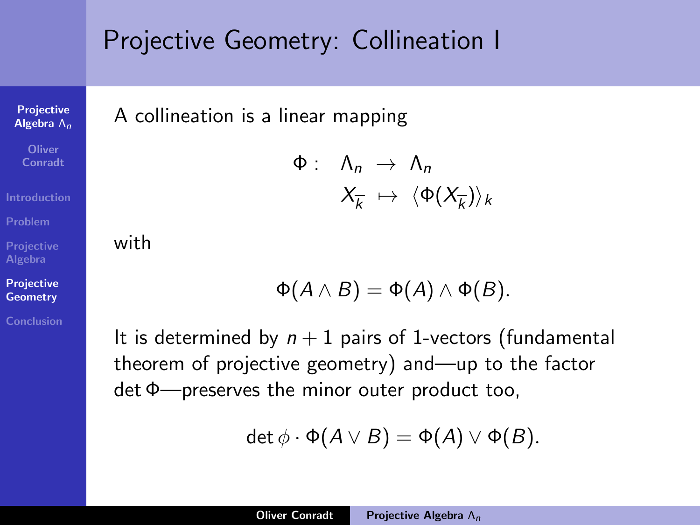# Projective Geometry: Collineation I

**[Projective](#page-0-0)** Algebra Λn

**Oliver** Conradt

**[Introduction](#page-1-0)** 

[Problem](#page-6-0)

[Projective](#page-8-0) Algebra

[Projective](#page-28-0) **Geometry** 

[Conclusion](#page-42-0)

A collineation is a linear mapping

$$
\Phi: \ \Lambda_n \to \Lambda_n
$$

$$
X_{\overline{k}} \mapsto \langle \Phi(X_{\overline{k}}) \rangle_k
$$

with

$$
\Phi(A \wedge B) = \Phi(A) \wedge \Phi(B).
$$

It is determined by  $n+1$  pairs of 1-vectors (fundamental theorem of projective geometry) and—up to the factor det Φ—preserves the minor outer product too,

$$
\det \phi \cdot \Phi(A \vee B) = \Phi(A) \vee \Phi(B).
$$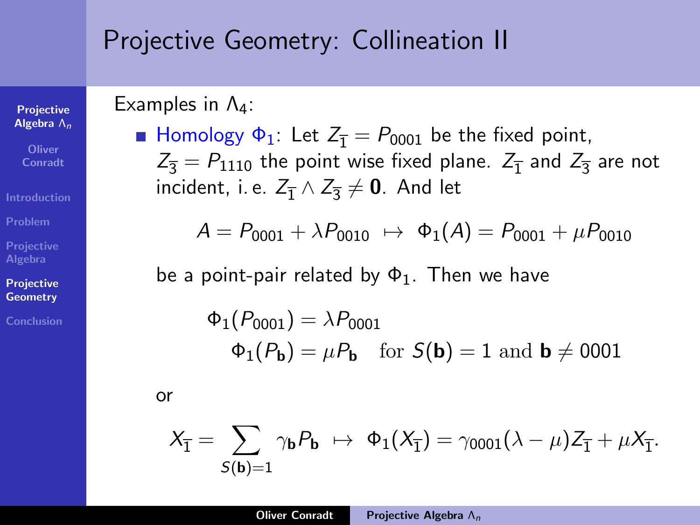# Projective Geometry: Collineation II

[Projective](#page-0-0) Algebra Λn

**Oliver** Conradt

[Introduction](#page-1-0)

[Problem](#page-6-0)

[Projective](#page-8-0) Algebra

[Projective](#page-28-0) **Geometry** 

[Conclusion](#page-42-0)

Examples in  $\Lambda_4$ :

**Homology**  $\Phi_1$ **:** Let  $Z_{\overline{1}} = P_{0001}$  be the fixed point,  $Z_{\overline{3}} = P_{1110}$  the point wise fixed plane.  $Z_{\overline{1}}$  and  $Z_{\overline{3}}$  are not incident, i. e.  $Z_{\overline{1}}\wedge Z_{\overline{3}}\neq\mathbf{0}$ . And let

 $A = P_{0001} + \lambda P_{0010} \rightarrow \Phi_1(A) = P_{0001} + \mu P_{0010}$ 

be a point-pair related by  $\Phi_1$ . Then we have

$$
\Phi_1(P_{0001}) = \lambda P_{0001}
$$
  
 
$$
\Phi_1(P_{\mathbf{b}}) = \mu P_{\mathbf{b}} \quad \text{for } S(\mathbf{b}) = 1 \text{ and } \mathbf{b} \neq 0001
$$

or

$$
X_{\overline{1}}=\sum_{S(\mathbf{b})=1}\gamma_{\mathbf{b}}P_{\mathbf{b}} \;\; \mapsto \;\; \Phi_1(X_{\overline{1}})=\gamma_{0001}(\lambda-\mu)Z_{\overline{1}}+\mu X_{\overline{1}}.
$$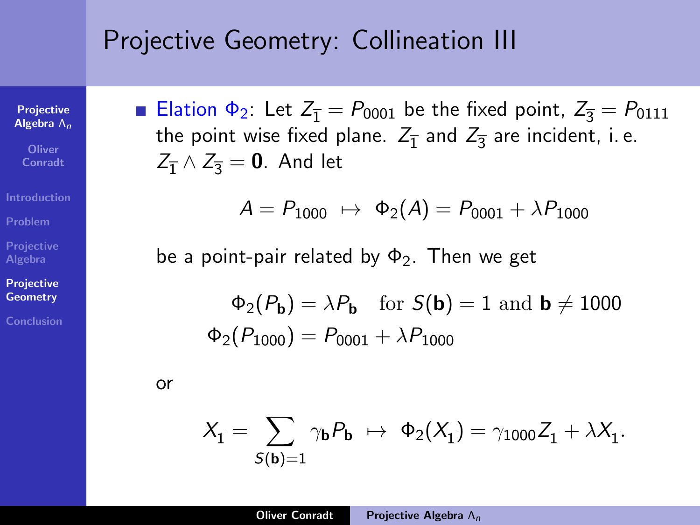# Projective Geometry: Collineation III

[Projective](#page-0-0) Algebra Λn

**Oliver** Conradt

[Introduction](#page-1-0)

[Problem](#page-6-0)

[Projective](#page-8-0) Algebra

**[Projective](#page-28-0) Geometry** 

[Conclusion](#page-42-0)

**Elation**  $\Phi_2$ **:** Let  $Z_{\overline{1}} = P_{0001}$  be the fixed point,  $Z_{\overline{2}} = P_{0111}$ the point wise fixed plane.  $Z_{\overline{1}}$  and  $Z_{\overline{3}}$  are incident, i.e.  $Z_{\overline{1}} \wedge Z_{\overline{2}} = \mathbf{0}$ . And let

$$
A = P_{1000} \rightarrow \Phi_2(A) = P_{0001} + \lambda P_{1000}
$$

be a point-pair related by  $\Phi_2$ . Then we get

 $\Phi_2(P_{\mathbf{b}}) = \lambda P_{\mathbf{b}}$  for  $S(\mathbf{b}) = 1$  and  $\mathbf{b} \neq 1000$  $\Phi_2(P_{1000}) = P_{0001} + \lambda P_{1000}$ 

or

$$
X_{\overline{1}}=\sum_{S(\mathbf{b})=1}\gamma_{\mathbf{b}}P_{\mathbf{b}}\;\;\mapsto\;\;\Phi_2(X_{\overline{1}})=\gamma_{1000}Z_{\overline{1}}+\lambda X_{\overline{1}}.
$$